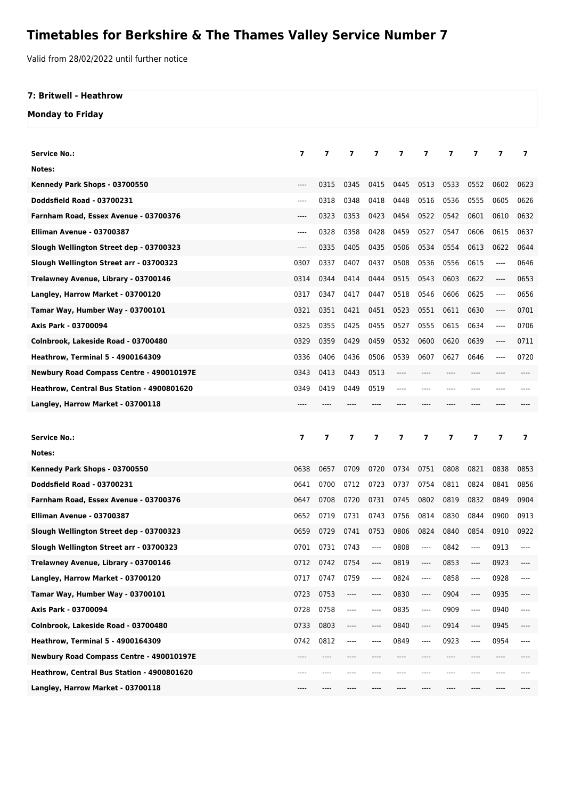## **Timetables for Berkshire & The Thames Valley Service Number 7**

Valid from 28/02/2022 until further notice

## **7: Britwell - Heathrow**

**Monday to Friday**

| <b>Service No.:</b>                        | $\overline{ }$ | 7    | 7    | 7    | 7    | 7    | 7     | 7                             | 7    | 7                       |
|--------------------------------------------|----------------|------|------|------|------|------|-------|-------------------------------|------|-------------------------|
| Notes:                                     |                |      |      |      |      |      |       |                               |      |                         |
| Kennedy Park Shops - 03700550              | ----           | 0315 | 0345 | 0415 | 0445 | 0513 | 0533  | 0552                          | 0602 | 0623                    |
| <b>Doddsfield Road - 03700231</b>          | ----           | 0318 | 0348 | 0418 | 0448 | 0516 | 0536  | 0555                          | 0605 | 0626                    |
| Farnham Road, Essex Avenue - 03700376      | ----           | 0323 | 0353 | 0423 | 0454 | 0522 | 0542  | 0601                          | 0610 | 0632                    |
| Elliman Avenue - 03700387                  | ----           | 0328 | 0358 | 0428 | 0459 | 0527 | 0547  | 0606                          | 0615 | 0637                    |
| Slough Wellington Street dep - 03700323    | ----           | 0335 | 0405 | 0435 | 0506 | 0534 | 0554  | 0613                          | 0622 | 0644                    |
| Slough Wellington Street arr - 03700323    | 0307           | 0337 | 0407 | 0437 | 0508 | 0536 | 0556  | 0615                          | ---- | 0646                    |
| Trelawney Avenue, Library - 03700146       | 0314           | 0344 | 0414 | 0444 | 0515 | 0543 | 0603  | 0622                          | ---- | 0653                    |
| Langley, Harrow Market - 03700120          | 0317           | 0347 | 0417 | 0447 | 0518 | 0546 | 0606  | 0625                          | ---- | 0656                    |
| Tamar Way, Humber Way - 03700101           | 0321           | 0351 | 0421 | 0451 | 0523 | 0551 | 0611  | 0630                          | ---- | 0701                    |
| Axis Park - 03700094                       | 0325           | 0355 | 0425 | 0455 | 0527 | 0555 | 0615  | 0634                          | ---- | 0706                    |
| Colnbrook, Lakeside Road - 03700480        | 0329           | 0359 | 0429 | 0459 | 0532 | 0600 | 0620  | 0639                          | ---- | 0711                    |
| <b>Heathrow, Terminal 5 - 4900164309</b>   | 0336           | 0406 | 0436 | 0506 | 0539 | 0607 | 0627  | 0646                          | ---- | 0720                    |
| Newbury Road Compass Centre - 490010197E   | 0343           | 0413 | 0443 | 0513 | ---- |      |       | ----                          |      |                         |
| Heathrow, Central Bus Station - 4900801620 | 0349           | 0419 | 0449 | 0519 |      |      |       |                               |      |                         |
| Langley, Harrow Market - 03700118          | ----           |      |      |      |      |      |       |                               |      |                         |
|                                            |                |      |      |      |      |      |       |                               |      |                         |
|                                            |                |      |      |      |      |      |       |                               |      |                         |
| Service No.:                               | 7              | 7    | 7    | 7    | 7    | 7    | 7     | 7                             | 7    | $\overline{\mathbf{z}}$ |
| Notes:                                     |                |      |      |      |      |      |       |                               |      |                         |
| Kennedy Park Shops - 03700550              | 0638           | 0657 | 0709 | 0720 | 0734 | 0751 | 0808  | 0821                          | 0838 | 0853                    |
| Doddsfield Road - 03700231                 | 0641           | 0700 | 0712 | 0723 | 0737 | 0754 | 0811  | 0824                          | 0841 | 0856                    |
| Farnham Road, Essex Avenue - 03700376      | 0647           | 0708 | 0720 | 0731 | 0745 | 0802 | 0819  | 0832                          | 0849 | 0904                    |
| Elliman Avenue - 03700387                  | 0652           | 0719 | 0731 | 0743 | 0756 | 0814 | 0830  | 0844                          | 0900 | 0913                    |
| Slough Wellington Street dep - 03700323    | 0659           | 0729 | 0741 | 0753 | 0806 | 0824 | 0840  | 0854                          | 0910 | 0922                    |
| Slough Wellington Street arr - 03700323    | 0701           | 0731 | 0743 | ---- | 0808 | ---- | 0842  | ----                          | 0913 |                         |
| Trelawney Avenue, Library - 03700146       | 0712           | 0742 | 0754 | ---- | 0819 | ---- | 0853  | ----                          | 0923 | ----                    |
| Langley, Harrow Market - 03700120          | 0717           | 0747 | 0759 | ---- | 0824 | ---- | 0858  | ----                          | 0928 | ----                    |
| Tamar Way, Humber Way - 03700101           | 0723           | 0753 | ---- | ---- | 0830 | ---- | 0904  | $\hspace{1.5cm} \textbf{---}$ | 0935 | ----                    |
| Axis Park - 03700094                       | 0728           | 0758 | ---- | ---- | 0835 | ---- | 0909  | ----                          | 0940 | ----                    |
| Colnbrook, Lakeside Road - 03700480        | 0733           | 0803 | ---- | ---- | 0840 | ---- | 0914  | ----                          | 0945 | ----                    |
| <b>Heathrow, Terminal 5 - 4900164309</b>   | 0742           | 0812 | ---- | ---- | 0849 | ---- | 0923  | ----                          | 0954 | ----                    |
| Newbury Road Compass Centre - 490010197E   | ----           | ---- |      |      | ---- | ---- | $---$ | ----                          | ---- |                         |
| Heathrow, Central Bus Station - 4900801620 | ----           | ---- |      |      |      | ---- | ----  | ----                          | ---- |                         |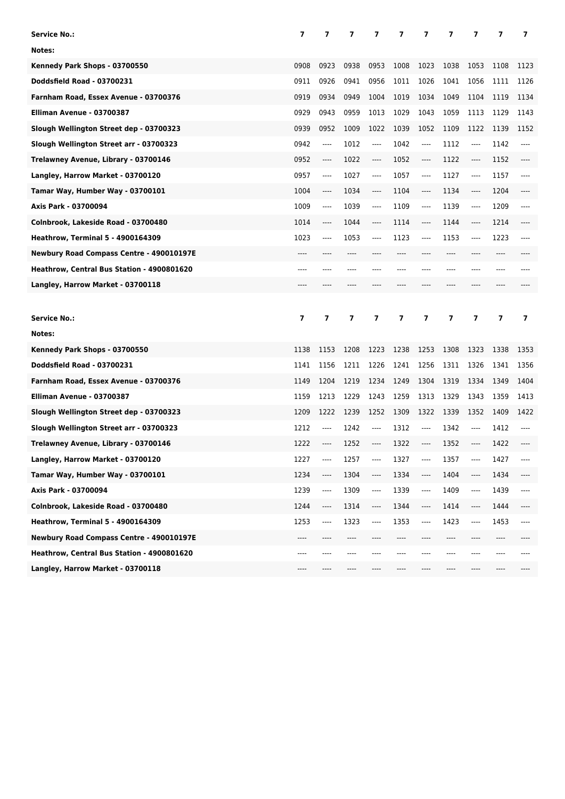| <b>Service No.:</b>                             | 7              | 7              | 7              | 7     | 7    | 7       | 7    | 7                             | 7    | 7              |
|-------------------------------------------------|----------------|----------------|----------------|-------|------|---------|------|-------------------------------|------|----------------|
| Notes:                                          |                |                |                |       |      |         |      |                               |      |                |
| Kennedy Park Shops - 03700550                   | 0908           | 0923           | 0938           | 0953  | 1008 | 1023    | 1038 | 1053                          | 1108 | 1123           |
| <b>Doddsfield Road - 03700231</b>               | 0911           | 0926           | 0941           | 0956  | 1011 | 1026    | 1041 | 1056                          | 1111 | 1126           |
| Farnham Road, Essex Avenue - 03700376           | 0919           | 0934           | 0949           | 1004  | 1019 | 1034    | 1049 | 1104                          | 1119 | 1134           |
| Elliman Avenue - 03700387                       | 0929           | 0943           | 0959           | 1013  | 1029 | 1043    | 1059 | 1113                          | 1129 | 1143           |
| Slough Wellington Street dep - 03700323         | 0939           | 0952           | 1009           | 1022  | 1039 | 1052    | 1109 | 1122                          | 1139 | 1152           |
| Slough Wellington Street arr - 03700323         | 0942           | ----           | 1012           | ----  | 1042 | ----    | 1112 | $\hspace{1.5cm} \textbf{---}$ | 1142 | ----           |
| Trelawney Avenue, Library - 03700146            | 0952           | ----           | 1022           | ----  | 1052 | ----    | 1122 | $---$                         | 1152 | ----           |
| Langley, Harrow Market - 03700120               | 0957           | ----           | 1027           | $---$ | 1057 | ----    | 1127 | $\hspace{1.5cm} \textbf{---}$ | 1157 | ----           |
| Tamar Way, Humber Way - 03700101                | 1004           | ----           | 1034           | ----  | 1104 | $---$   | 1134 | $\hspace{1.5cm} \textbf{---}$ | 1204 | ----           |
| Axis Park - 03700094                            | 1009           | ----           | 1039           | ----  | 1109 | ----    | 1139 | $-----$                       | 1209 |                |
| Colnbrook, Lakeside Road - 03700480             | 1014           | ----           | 1044           | ----  | 1114 | ----    | 1144 | $\hspace{1.5cm} \textbf{---}$ | 1214 |                |
| <b>Heathrow, Terminal 5 - 4900164309</b>        | 1023           | ----           | 1053           | ----  | 1123 | ----    | 1153 | $-----$                       | 1223 | ----           |
| <b>Newbury Road Compass Centre - 490010197E</b> | ----           |                | ----           |       |      |         | ---- | $---$                         | ---- |                |
| Heathrow, Central Bus Station - 4900801620      | ----           | ----           | ----           |       |      |         | ---- | $---$                         | ---- |                |
| Langley, Harrow Market - 03700118               | ----           |                |                |       |      |         |      |                               |      |                |
|                                                 |                |                |                |       |      |         |      |                               |      |                |
|                                                 |                |                |                |       |      |         |      |                               |      |                |
| <b>Service No.:</b>                             | $\overline{7}$ | $\overline{7}$ | $\overline{ }$ | 7     | 7    | 7       | 7    | 7                             | 7    | $\overline{ }$ |
| Notes:                                          |                |                |                |       |      |         |      |                               |      |                |
| Kennedy Park Shops - 03700550                   | 1138           | 1153           | 1208           | 1223  | 1238 | 1253    | 1308 | 1323                          | 1338 | 1353           |
| Doddsfield Road - 03700231                      | 1141           | 1156           | 1211           | 1226  | 1241 | 1256    | 1311 | 1326                          | 1341 | 1356           |
| Farnham Road, Essex Avenue - 03700376           | 1149           | 1204           | 1219           | 1234  | 1249 | 1304    | 1319 | 1334                          | 1349 | 1404           |
| Elliman Avenue - 03700387                       | 1159           | 1213           | 1229           | 1243  | 1259 | 1313    | 1329 | 1343                          | 1359 | 1413           |
| Slough Wellington Street dep - 03700323         | 1209           | 1222           | 1239           | 1252  | 1309 | 1322    | 1339 | 1352                          | 1409 | 1422           |
| Slough Wellington Street arr - 03700323         | 1212           | ----           | 1242           | ----  | 1312 | $-----$ | 1342 | $\hspace{1.5cm} \textbf{---}$ | 1412 | ----           |
| Trelawney Avenue, Library - 03700146            | 1222           | ----           | 1252           | ----  | 1322 | $---$   | 1352 | $-----$                       | 1422 |                |
| Langley, Harrow Market - 03700120               | 1227           |                | 1257           |       | 1327 | ----    | 1357 |                               | 1427 | ----           |
| Tamar Way, Humber Way - 03700101                | 1234           | ----           | 1304           |       | 1334 | ----    | 1404 | ----                          | 1434 | ----           |
| Axis Park - 03700094                            | 1239           | ----           | 1309           | $---$ | 1339 | ----    | 1409 | ----                          | 1439 | ----           |
| Colnbrook, Lakeside Road - 03700480             | 1244           | ----           | 1314           | ----  | 1344 | ----    | 1414 | ----                          | 1444 | ----           |
| <b>Heathrow, Terminal 5 - 4900164309</b>        | 1253           | ----           | 1323           | ----  | 1353 | ----    | 1423 | ----                          | 1453 | ----           |
| Newbury Road Compass Centre - 490010197E        | ----           | ----           | ----           |       |      | ----    | ---- | ----                          | ---- |                |
| Heathrow, Central Bus Station - 4900801620      | ----           |                |                |       |      |         |      |                               | ---- |                |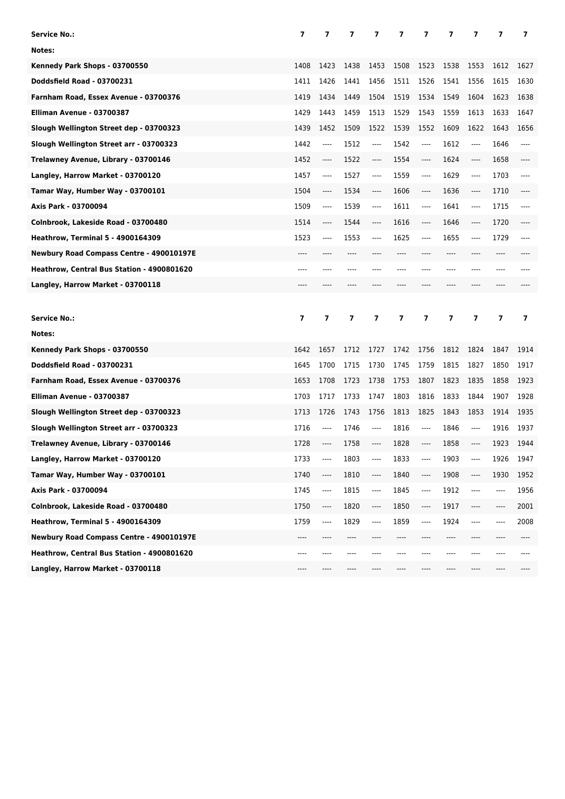| <b>Service No.:</b>                             | 7              | 7              | 7              | 7     | 7    | 7       | 7                        | 7                             | 7    | 7              |
|-------------------------------------------------|----------------|----------------|----------------|-------|------|---------|--------------------------|-------------------------------|------|----------------|
| Notes:                                          |                |                |                |       |      |         |                          |                               |      |                |
| Kennedy Park Shops - 03700550                   | 1408           | 1423           | 1438           | 1453  | 1508 | 1523    | 1538                     | 1553                          | 1612 | 1627           |
| Doddsfield Road - 03700231                      | 1411           | 1426           | 1441           | 1456  | 1511 | 1526    | 1541                     | 1556                          | 1615 | 1630           |
| Farnham Road, Essex Avenue - 03700376           | 1419           | 1434           | 1449           | 1504  | 1519 | 1534    | 1549                     | 1604                          | 1623 | 1638           |
| Elliman Avenue - 03700387                       | 1429           | 1443           | 1459           | 1513  | 1529 | 1543    | 1559                     | 1613                          | 1633 | 1647           |
| Slough Wellington Street dep - 03700323         | 1439           | 1452           | 1509           | 1522  | 1539 | 1552    | 1609                     | 1622                          | 1643 | 1656           |
| Slough Wellington Street arr - 03700323         | 1442           | ----           | 1512           | ----  | 1542 | ----    | 1612                     | $\hspace{1.5cm} \textbf{---}$ | 1646 | ----           |
| Trelawney Avenue, Library - 03700146            | 1452           | $---$          | 1522           | ----  | 1554 | ----    | 1624                     | $---$                         | 1658 | ----           |
| Langley, Harrow Market - 03700120               | 1457           | ----           | 1527           | $---$ | 1559 | ----    | 1629                     | $\hspace{1.5cm} \textbf{---}$ | 1703 | ----           |
| Tamar Way, Humber Way - 03700101                | 1504           | $-----$        | 1534           | ----  | 1606 | ----    | 1636                     | $\hspace{1.5cm} \textbf{---}$ | 1710 | ----           |
| Axis Park - 03700094                            | 1509           | ----           | 1539           | ----  | 1611 | ----    | 1641                     | $-----$                       | 1715 |                |
| Colnbrook, Lakeside Road - 03700480             | 1514           | $-----$        | 1544           | ----  | 1616 | ----    | 1646                     | $\hspace{1.5cm} \textbf{---}$ | 1720 |                |
| <b>Heathrow, Terminal 5 - 4900164309</b>        | 1523           | $---$          | 1553           | ----  | 1625 | ----    | 1655                     | $-----$                       | 1729 | ----           |
| <b>Newbury Road Compass Centre - 490010197E</b> | ----           |                | ----           |       |      |         | ----                     | $---$                         | ---- |                |
| Heathrow, Central Bus Station - 4900801620      | ----           |                | ----           |       |      |         | ----                     | $---$                         | ---- |                |
| Langley, Harrow Market - 03700118               | ----           |                |                |       |      |         |                          |                               |      |                |
|                                                 |                |                |                |       |      |         |                          |                               |      |                |
|                                                 |                |                |                |       |      |         |                          |                               |      |                |
| <b>Service No.:</b>                             | $\overline{7}$ | $\overline{ }$ | $\overline{ }$ | 7     | 7    | 7       | $\overline{\phantom{a}}$ | 7                             | 7    | $\overline{ }$ |
| Notes:                                          |                |                |                |       |      |         |                          |                               |      |                |
| Kennedy Park Shops - 03700550                   | 1642           | 1657           | 1712           | 1727  | 1742 | 1756    | 1812                     | 1824                          | 1847 | 1914           |
| Doddsfield Road - 03700231                      | 1645           | 1700           | 1715           | 1730  | 1745 | 1759    | 1815                     | 1827                          | 1850 | 1917           |
| Farnham Road, Essex Avenue - 03700376           | 1653           | 1708           | 1723           | 1738  | 1753 | 1807    | 1823                     | 1835                          | 1858 | 1923           |
| Elliman Avenue - 03700387                       | 1703           | 1717           | 1733           | 1747  | 1803 | 1816    | 1833                     | 1844                          | 1907 | 1928           |
| Slough Wellington Street dep - 03700323         | 1713           | 1726           | 1743           | 1756  | 1813 | 1825    | 1843                     | 1853                          | 1914 | 1935           |
| Slough Wellington Street arr - 03700323         | 1716           | ----           | 1746           | ----  | 1816 | $-----$ | 1846                     | $\hspace{1.5cm} \textbf{---}$ | 1916 | 1937           |
| Trelawney Avenue, Library - 03700146            | 1728           | ----           | 1758           | ----  | 1828 | $---$   | 1858                     | $---$                         | 1923 | 1944           |
| Langley, Harrow Market - 03700120               | 1733           |                | 1803           |       | 1833 | ----    | 1903                     | $\hspace{1.5cm} \textbf{---}$ | 1926 | 1947           |
| Tamar Way, Humber Way - 03700101                | 1740           | ----           | 1810           | ----  | 1840 | ----    | 1908                     | ----                          | 1930 | 1952           |
| Axis Park - 03700094                            | 1745           | ----           | 1815           | $---$ | 1845 | ----    | 1912                     | ----                          | ---- | 1956           |
| Colnbrook, Lakeside Road - 03700480             | 1750           | ----           | 1820           | ----  | 1850 | ----    | 1917                     | ----                          | ---- | 2001           |
| <b>Heathrow, Terminal 5 - 4900164309</b>        | 1759           | ----           | 1829           | ----  | 1859 | ----    | 1924                     | ----                          |      | 2008           |
| Newbury Road Compass Centre - 490010197E        | ----           | ----           | ----           |       |      | ----    | ----                     | ----                          | ---- |                |
| Heathrow, Central Bus Station - 4900801620      | ---            |                |                |       |      |         |                          |                               |      |                |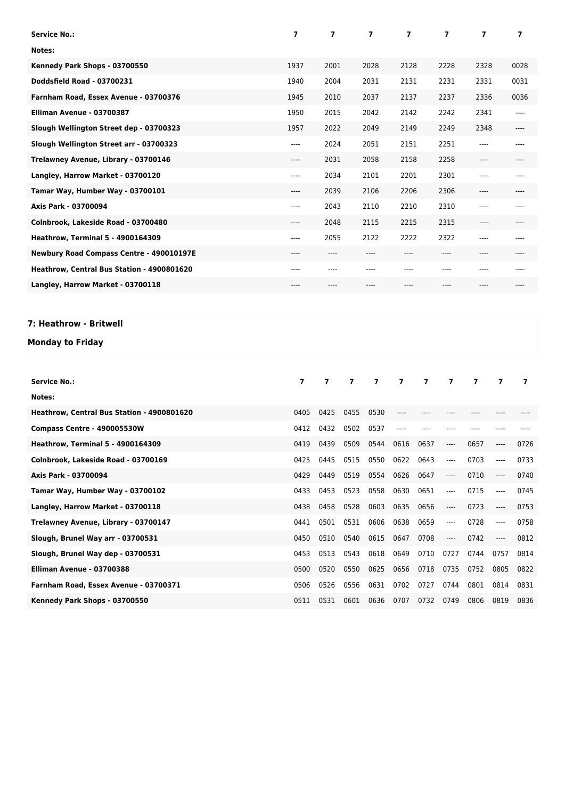| <b>Service No.:</b>                        | 7     | $\overline{7}$ | $\overline{\mathbf{z}}$ | 7     | $\overline{\phantom{a}}$ | 7    | 7     |
|--------------------------------------------|-------|----------------|-------------------------|-------|--------------------------|------|-------|
| Notes:                                     |       |                |                         |       |                          |      |       |
| Kennedy Park Shops - 03700550              | 1937  | 2001           | 2028                    | 2128  | 2228                     | 2328 | 0028  |
| Doddsfield Road - 03700231                 | 1940  | 2004           | 2031                    | 2131  | 2231                     | 2331 | 0031  |
| Farnham Road, Essex Avenue - 03700376      | 1945  | 2010           | 2037                    | 2137  | 2237                     | 2336 | 0036  |
| Elliman Avenue - 03700387                  | 1950  | 2015           | 2042                    | 2142  | 2242                     | 2341 | $---$ |
| Slough Wellington Street dep - 03700323    | 1957  | 2022           | 2049                    | 2149  | 2249                     | 2348 | $---$ |
| Slough Wellington Street arr - 03700323    | ----  | 2024           | 2051                    | 2151  | 2251                     | ---- | ----  |
| Trelawney Avenue, Library - 03700146       | ----  | 2031           | 2058                    | 2158  | 2258                     | ---- | $---$ |
| Langley, Harrow Market - 03700120          | ----  | 2034           | 2101                    | 2201  | 2301                     | ---- | ----  |
| Tamar Way, Humber Way - 03700101           | ----  | 2039           | 2106                    | 2206  | 2306                     | ---- | $---$ |
| Axis Park - 03700094                       | $---$ | 2043           | 2110                    | 2210  | 2310                     | ---- | ----  |
| Colnbrook, Lakeside Road - 03700480        | ----  | 2048           | 2115                    | 2215  | 2315                     | ---- | $---$ |
| <b>Heathrow, Terminal 5 - 4900164309</b>   | $---$ | 2055           | 2122                    | 2222  | 2322                     | ---- | $---$ |
| Newbury Road Compass Centre - 490010197E   | $---$ | $----$         | ----                    | $---$ | ----                     | ---- | $---$ |
| Heathrow, Central Bus Station - 4900801620 | ----  | ----           | ----                    | ----  | ----                     | ---- |       |
| Langley, Harrow Market - 03700118          | ----  |                | ----                    |       |                          |      |       |

## **7: Heathrow - Britwell**

## **Monday to Friday**

| <b>Service No.:</b>                        | $\overline{ }$ | $\overline{ }$ | $\overline{\mathbf{z}}$ | $\overline{7}$ | $\overline{7}$ | $\overline{7}$ | $\overline{7}$ | $\overline{ }$ | 7       | 7    |
|--------------------------------------------|----------------|----------------|-------------------------|----------------|----------------|----------------|----------------|----------------|---------|------|
| Notes:                                     |                |                |                         |                |                |                |                |                |         |      |
| Heathrow. Central Bus Station - 4900801620 | 0405           | 0425           | 0455                    | 0530           |                |                |                |                |         |      |
| Compass Centre - 490005530W                | 0412           | 0432           | 0502                    | 0537           | ----           |                |                |                |         |      |
| <b>Heathrow, Terminal 5 - 4900164309</b>   | 0419           | 0439           | 0509                    | 0544           | 0616           | 0637           | $---$          | 0657           | $-----$ | 0726 |
| Colnbrook, Lakeside Road - 03700169        | 0425           | 0445           | 0515                    | 0550           | 0622           | 0643           | ----           | 0703           | $---$   | 0733 |
| Axis Park - 03700094                       | 0429           | 0449           | 0519                    | 0554           | 0626           | 0647           | ----           | 0710           | $-----$ | 0740 |
| Tamar Way, Humber Way - 03700102           | 0433           | 0453           | 0523                    | 0558           | 0630           | 0651           | $---$          | 0715           | $---$   | 0745 |
| Langley, Harrow Market - 03700118          | 0438           | 0458           | 0528                    | 0603           | 0635           | 0656           | ----           | 0723           | ----    | 0753 |
| Trelawney Avenue, Library - 03700147       | 0441           | 0501           | 0531                    | 0606           | 0638           | 0659           | ----           | 0728           | $---$   | 0758 |
| Slough, Brunel Way arr - 03700531          | 0450           | 0510           | 0540                    | 0615           | 0647           | 0708           | $---$          | 0742           | $---$   | 0812 |
| Slough, Brunel Way dep - 03700531          | 0453           | 0513           | 0543                    | 0618           | 0649           | 0710           | 0727           | 0744           | 0757    | 0814 |
| Elliman Avenue - 03700388                  | 0500           | 0520           | 0550                    | 0625           | 0656           | 0718           | 0735           | 0752           | 0805    | 0822 |
| Farnham Road, Essex Avenue - 03700371      | 0506           | 0526           | 0556                    | 0631           | 0702           | 0727           | 0744           | 0801           | 0814    | 0831 |
| Kennedy Park Shops - 03700550              | 0511           | 0531           | 0601                    | 0636           | 0707           | 0732           | 0749           | 0806           | 0819    | 0836 |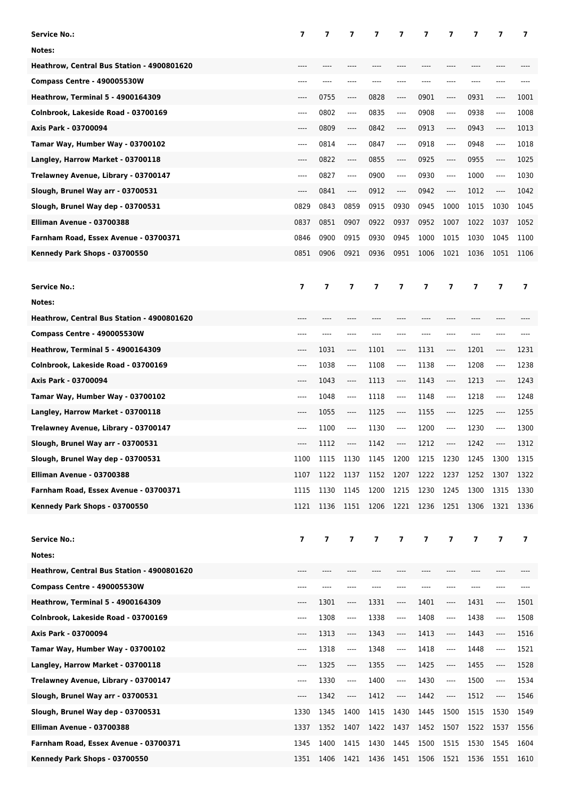| <b>Service No.:</b>                        | 7                       | 7                       | 7              | 7    | 7         | 7                       | 7                             | 7     | 7                             | 7              |
|--------------------------------------------|-------------------------|-------------------------|----------------|------|-----------|-------------------------|-------------------------------|-------|-------------------------------|----------------|
| Notes:                                     |                         |                         |                |      |           |                         |                               |       |                               |                |
| Heathrow, Central Bus Station - 4900801620 | $---$                   |                         |                |      |           |                         |                               |       | ----                          |                |
| Compass Centre - 490005530W                | ----                    | ----                    | ----           | ---- |           |                         | ----                          | $---$ | ----                          |                |
| <b>Heathrow, Terminal 5 - 4900164309</b>   | $---$                   | 0755                    | ----           | 0828 | $---$     | 0901                    | $-----$                       | 0931  | ----                          | 1001           |
| Colnbrook, Lakeside Road - 03700169        | $---$                   | 0802                    | ----           | 0835 | $---$     | 0908                    | $---$                         | 0938  | ----                          | 1008           |
| Axis Park - 03700094                       | $---$                   | 0809                    | ----           | 0842 | $---$     | 0913                    | $-----$                       | 0943  | ----                          | 1013           |
| Tamar Way, Humber Way - 03700102           | $---$                   | 0814                    | ----           | 0847 | $---$     | 0918                    | $---$                         | 0948  | ----                          | 1018           |
| Langley, Harrow Market - 03700118          | $---$                   | 0822                    | ----           | 0855 | $-----$   | 0925                    | $-----$                       | 0955  | ----                          | 1025           |
| Trelawney Avenue, Library - 03700147       | $---$                   | 0827                    | ----           | 0900 | ----      | 0930                    | $---$                         | 1000  | ----                          | 1030           |
| Slough, Brunel Way arr - 03700531          | $---$                   | 0841                    | ----           | 0912 | $---$     | 0942                    | $---$                         | 1012  | $\hspace{1.5cm} \textbf{---}$ | 1042           |
| Slough, Brunel Way dep - 03700531          | 0829                    | 0843                    | 0859           | 0915 | 0930      | 0945                    | 1000                          | 1015  | 1030                          | 1045           |
| Elliman Avenue - 03700388                  | 0837                    | 0851                    | 0907           | 0922 | 0937      | 0952                    | 1007                          | 1022  | 1037                          | 1052           |
| Farnham Road, Essex Avenue - 03700371      | 0846                    | 0900                    | 0915           | 0930 | 0945      | 1000                    | 1015                          | 1030  | 1045                          | 1100           |
| Kennedy Park Shops - 03700550              | 0851                    | 0906                    | 0921           | 0936 | 0951      | 1006                    | 1021                          | 1036  | 1051                          | 1106           |
|                                            |                         |                         |                |      |           |                         |                               |       |                               |                |
| <b>Service No.:</b>                        | $\overline{ }$          | $\overline{ }$          | $\overline{ }$ | 7    | 7         | 7                       | $\overline{ }$                | 7     | 7                             | $\overline{ }$ |
| Notes:                                     |                         |                         |                |      |           |                         |                               |       |                               |                |
| Heathrow, Central Bus Station - 4900801620 | ----                    | ----                    |                | ---- |           |                         | ----                          | ----  | ----                          |                |
| Compass Centre - 490005530W                |                         |                         |                |      |           |                         | ---                           |       |                               |                |
| <b>Heathrow, Terminal 5 - 4900164309</b>   |                         | 1031                    | ----           | 1101 | ----      | 1131                    | $\hspace{1.5cm} \textbf{---}$ | 1201  | ----                          | 1231           |
| Colnbrook, Lakeside Road - 03700169        | $---$                   | 1038                    | ----           | 1108 | ----      | 1138                    | $\hspace{1.5cm} \textbf{---}$ | 1208  | ----                          | 1238           |
| Axis Park - 03700094                       | ----                    | 1043                    | $-----$        | 1113 | ----      | 1143                    | $\hspace{1.5cm} \textbf{---}$ | 1213  | ----                          | 1243           |
| Tamar Way, Humber Way - 03700102           | ----                    | 1048                    | ----           | 1118 | ----      | 1148                    | $---$                         | 1218  | ----                          | 1248           |
| Langley, Harrow Market - 03700118          | ----                    | 1055                    | $-----$        | 1125 | ----      | 1155                    | $---$                         | 1225  | ----                          | 1255           |
| Trelawney Avenue, Library - 03700147       | ----                    | 1100                    | $-----$        | 1130 | ----      | 1200                    | $-----$                       | 1230  | ----                          | 1300           |
| Slough, Brunel Way arr - 03700531          | ----                    | 1112                    | ----           | 1142 | ----      | 1212                    | ----                          | 1242  | ----                          | 1312           |
| Slough, Brunel Way dep - 03700531          | 1100                    | 1115                    | 1130           | 1145 | 1200      | 1215                    | 1230                          | 1245  | 1300                          | 1315           |
| Elliman Avenue - 03700388                  | 1107                    | 1122                    | 1137           | 1152 | 1207      | 1222                    | 1237                          | 1252  | 1307                          | 1322           |
| Farnham Road, Essex Avenue - 03700371      | 1115                    | 1130                    | 1145           | 1200 | 1215      | 1230                    | 1245                          | 1300  | 1315                          | 1330           |
| Kennedy Park Shops - 03700550              | 1121                    | 1136                    | 1151 1206      |      | 1221 1236 |                         | 1251                          | 1306  | 1321 1336                     |                |
|                                            |                         |                         |                |      |           |                         |                               |       |                               |                |
|                                            |                         |                         |                |      |           |                         |                               |       |                               |                |
| <b>Service No.:</b>                        | $\overline{\mathbf{z}}$ | $\overline{\mathbf{z}}$ | $\overline{7}$ | 7    | 7         | $\overline{\mathbf{z}}$ | 7                             | 7     | $\overline{ }$                | $\overline{7}$ |
| Notes:                                     |                         |                         |                |      |           |                         |                               |       |                               |                |
| Heathrow, Central Bus Station - 4900801620 |                         |                         |                |      |           |                         |                               |       |                               |                |
| Compass Centre - 490005530W                | $---$                   | ----                    | ----           |      |           |                         | ----                          | ----  | ----                          | ----           |
| <b>Heathrow, Terminal 5 - 4900164309</b>   | $---$                   | 1301                    | ----           | 1331 | ----      | 1401                    | ----                          | 1431  | ----                          | 1501           |
| Colnbrook, Lakeside Road - 03700169        | $---$                   | 1308                    | ----           | 1338 | ----      | 1408                    | ----                          | 1438  | ----                          | 1508           |
| Axis Park - 03700094                       | ----                    | 1313                    | ----           | 1343 | ----      | 1413                    | ----                          | 1443  | ----                          | 1516           |
| Tamar Way, Humber Way - 03700102           | $---$                   | 1318                    | ----           | 1348 | $\cdots$  | 1418                    | $\overline{\phantom{a}}$      | 1448  | ----                          | 1521           |
| Langley, Harrow Market - 03700118          | $---$                   | 1325                    | ----           | 1355 | ----      | 1425                    | ----                          | 1455  | ----                          | 1528           |
| Trelawney Avenue, Library - 03700147       | ----                    | 1330                    | ----           | 1400 | ----      | 1430                    | $\overline{\phantom{a}}$      | 1500  | ----                          | 1534           |
| Slough, Brunel Way arr - 03700531          | ----                    | 1342                    | ----           | 1412 | ----      | 1442                    | ----                          | 1512  | ----                          | 1546           |
| Slough, Brunel Way dep - 03700531          | 1330                    | 1345                    | 1400           | 1415 | 1430      | 1445                    | 1500                          | 1515  | 1530                          | 1549           |
| Elliman Avenue - 03700388                  | 1337                    | 1352                    | 1407           | 1422 | 1437      | 1452                    | 1507                          | 1522  | 1537                          | 1556           |
| Farnham Road, Essex Avenue - 03700371      | 1345                    | 1400                    | 1415           | 1430 | 1445      | 1500                    | 1515                          | 1530  | 1545                          | 1604           |
| Kennedy Park Shops - 03700550              | 1351                    | 1406                    | 1421           | 1436 | 1451 1506 |                         | 1521                          | 1536  | 1551                          | 1610           |